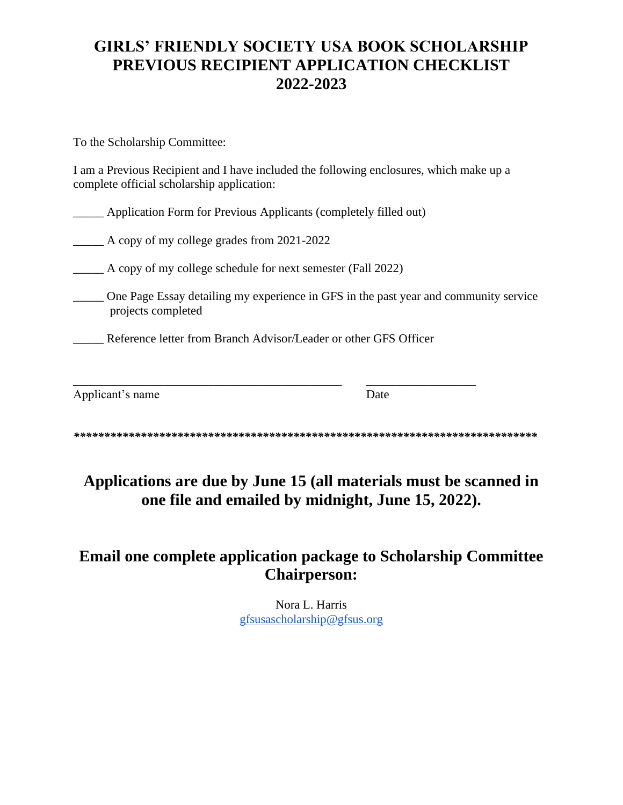# **GIRLS' FRIENDLY SOCIETY USA BOOK SCHOLARSHIP PREVIOUS RECIPIENT APPLICATION CHECKLIST 2022-2023**

To the Scholarship Committee:

I am a Previous Recipient and I have included the following enclosures, which make up a complete official scholarship application:

|  |  | Application Form for Previous Applicants (completely filled out) |  |
|--|--|------------------------------------------------------------------|--|
|  |  |                                                                  |  |
|  |  |                                                                  |  |
|  |  |                                                                  |  |

\_\_\_\_\_ A copy of my college grades from 2021-2022

|  |  |  | A copy of my college schedule for next semester (Fall 2022) |  |
|--|--|--|-------------------------------------------------------------|--|
|  |  |  |                                                             |  |
|  |  |  |                                                             |  |

\_\_\_\_\_ One Page Essay detailing my experience in GFS in the past year and community service projects completed

\_\_\_\_\_ Reference letter from Branch Advisor/Leader or other GFS Officer

\_\_\_\_\_\_\_\_\_\_\_\_\_\_\_\_\_\_\_\_\_\_\_\_\_\_\_\_\_\_\_\_\_\_\_\_\_\_\_\_\_\_\_\_ \_\_\_\_\_\_\_\_\_\_\_\_\_\_\_\_\_\_

| Applicant's name | Date |
|------------------|------|
|                  |      |

*\*\*\*\*\*\*\*\*\*\*\*\*\*\*\*\*\*\*\*\*\*\*\*\*\*\*\*\*\*\*\*\*\*\*\*\*\*\*\*\*\*\*\*\*\*\*\*\*\*\*\*\*\*\*\*\*\*\*\*\*\*\*\*\*\*\*\*\*\*\*\*\*\*\*\*\** 

# **Applications are due by June 15 (all materials must be scanned in one file and emailed by midnight, June 15, 2022).**

# **Email one complete application package to Scholarship Committee Chairperson:**

Nora L. Harris [gfsusascholarship@gfsus.org](mailto:gfsusabookscholarship@gmail.com)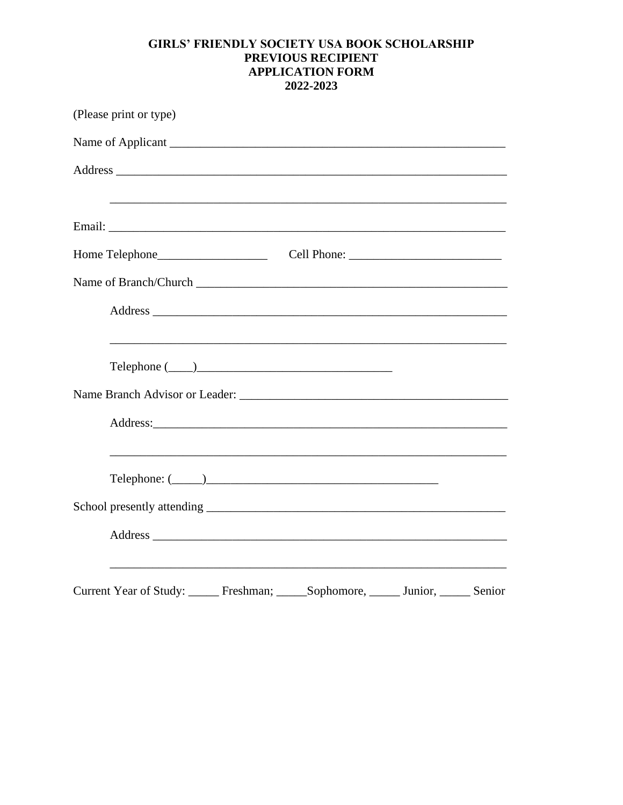#### **GIRLS' FRIENDLY SOCIETY USA BOOK SCHOLARSHIP** PREVIOUS RECIPIENT **APPLICATION FORM** 2022-2023

| (Please print or type)                                     |  |
|------------------------------------------------------------|--|
|                                                            |  |
|                                                            |  |
|                                                            |  |
|                                                            |  |
|                                                            |  |
|                                                            |  |
|                                                            |  |
|                                                            |  |
|                                                            |  |
|                                                            |  |
|                                                            |  |
|                                                            |  |
| $\text{Telephone: } (\_\_\_\_\_\_\_\_\_\_\_\_$             |  |
|                                                            |  |
|                                                            |  |
|                                                            |  |
| Current Year of Study: Freshman; Sophomore, Junior, Senior |  |